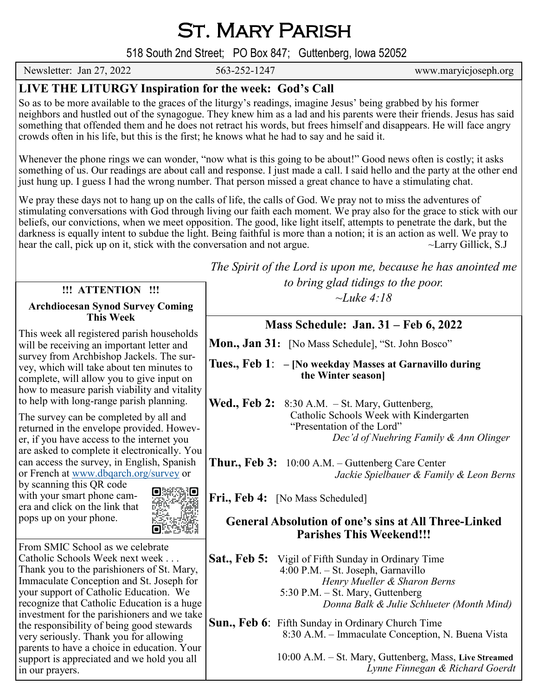St. Mary Parish

518 South 2nd Street; PO Box 847; Guttenberg, Iowa 52052

Newsletter: Jan 27, 2022 563-252-1247 www.maryicjoseph.org

# **LIVE THE LITURGY Inspiration for the week: God's Call**

So as to be more available to the graces of the liturgy's readings, imagine Jesus' being grabbed by his former neighbors and hustled out of the synagogue. They knew him as a lad and his parents were their friends. Jesus has said something that offended them and he does not retract his words, but frees himself and disappears. He will face angry crowds often in his life, but this is the first; he knows what he had to say and he said it.

Whenever the phone rings we can wonder, "now what is this going to be about!" Good news often is costly; it asks something of us. Our readings are about call and response. I just made a call. I said hello and the party at the other end just hung up. I guess I had the wrong number. That person missed a great chance to have a stimulating chat.

We pray these days not to hang up on the calls of life, the calls of God. We pray not to miss the adventures of stimulating conversations with God through living our faith each moment. We pray also for the grace to stick with our beliefs, our convictions, when we meet opposition. The good, like light itself, attempts to penetrate the dark, but the darkness is equally intent to subdue the light. Being faithful is more than a notion; it is an action as well. We pray to hear the call, pick up on it, stick with the conversation and not argue.  $\sim$ Larry Gillick, S.J

### **!!! ATTENTION !!!**

#### **Archdiocesan Synod Survey Coming This Week**

This week all registered parish households will be receiving an important letter and survey from Archbishop Jackels. The survey, which will take about ten minutes to complete, will allow you to give input on how to measure parish viability and vitality to help with long-range parish planning.

The survey can be completed by all and returned in the envelope provided. However, if you have access to the internet you are asked to complete it electronically. You can access the survey, in English, Spanish or French at [www.dbqarch.org/survey](http://www.dbqarch.org/survey) or

by scanning this QR code with your smart phone camera and click on the link that pops up on your phone.



From SMIC School as we celebrate Catholic Schools Week next week . . . Thank you to the parishioners of St. Mary, Immaculate Conception and St. Joseph for your support of Catholic Education. We recognize that Catholic Education is a huge investment for the parishioners and we take the responsibility of being good stewards very seriously. Thank you for allowing parents to have a choice in education. Your support is appreciated and we hold you all in our prayers.

*The Spirit of the Lord is upon me, because he has anointed me to bring glad tidings to the poor.* 

*~Luke 4:18*

## **Mass Schedule: Jan. 31 – Feb 6, 2022**

**Mon., Jan 31:** [No Mass Schedule], "St. John Bosco"

**Tues., Feb 1**: **– [No weekday Masses at Garnavillo during the Winter season]**

**Wed., Feb 2:** 8:30 A.M. – St. Mary, Guttenberg, Catholic Schools Week with Kindergarten "Presentation of the Lord" *Dec'd of Nuehring Family & Ann Olinger*

**Thur., Feb 3:** 10:00 A.M. – Guttenberg Care Center *Jackie Spielbauer & Family & Leon Berns*

Fri., Feb 4: [No Mass Scheduled]

#### **General Absolution of one's sins at All Three-Linked Parishes This Weekend!!!**

Sat., Feb 5: Vigil of Fifth Sunday in Ordinary Time 4:00 P.M. – St. Joseph, Garnavillo *Henry Mueller & Sharon Berns*  5:30 P.M. – St. Mary, Guttenberg *Donna Balk & Julie Schlueter (Month Mind)*

**Sun., Feb 6**: Fifth Sunday in Ordinary Church Time 8:30 A.M. – Immaculate Conception, N. Buena Vista

> 10:00 A.M. – St. Mary, Guttenberg, Mass, **Live Streamed** *Lynne Finnegan & Richard Goerdt*